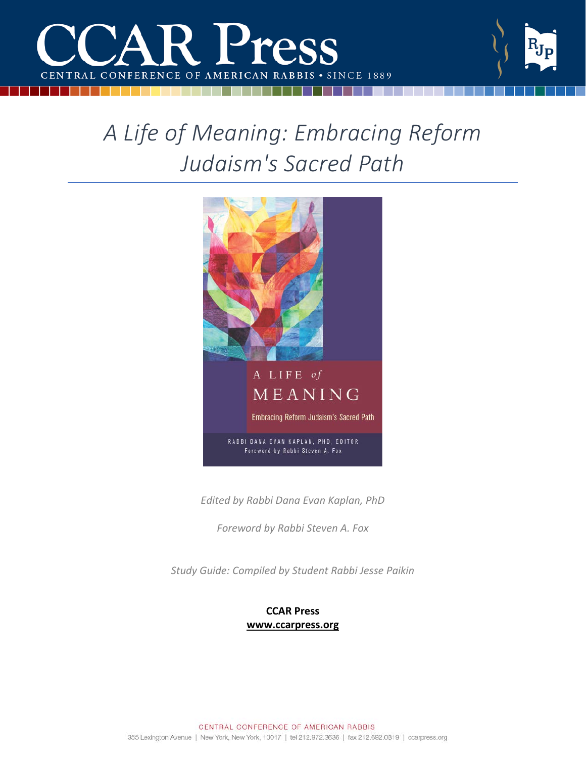

# *A Life of Meaning: Embracing Reform Judaism's Sacred Path*



*Edited by Rabbi Dana Evan Kaplan, PhD*

*Foreword by Rabbi Steven A. Fox*

*Study Guide: Compiled by Student Rabbi Jesse Paikin*

## **CCAR Press [www.ccarpress.org](http://www.ccarpress.org/)**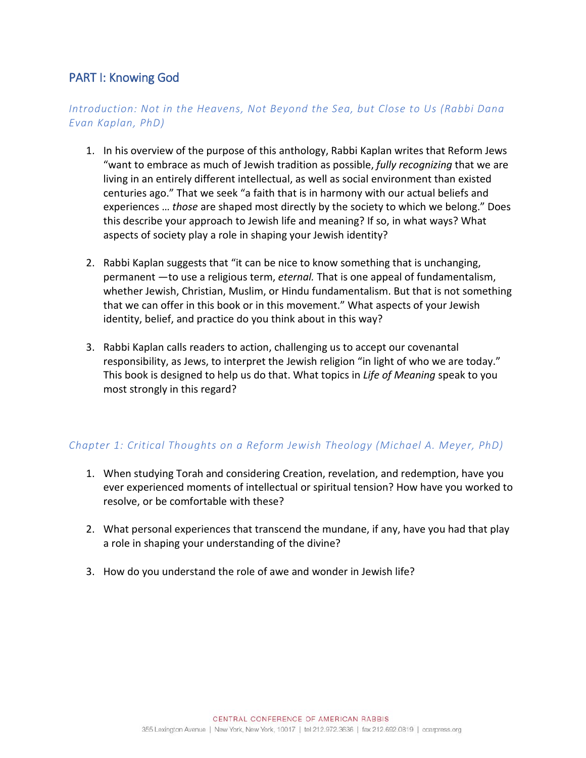# PART I: Knowing God

## *Introduction: Not in the Heavens, Not Beyond the Sea, but Close to Us (Rabbi Dana Evan Kaplan, PhD)*

- 1. In his overview of the purpose of this anthology, Rabbi Kaplan writes that Reform Jews "want to embrace as much of Jewish tradition as possible, *fully recognizing* that we are living in an entirely different intellectual, as well as social environment than existed centuries ago." That we seek "a faith that is in harmony with our actual beliefs and experiences … *those* are shaped most directly by the society to which we belong." Does this describe your approach to Jewish life and meaning? If so, in what ways? What aspects of society play a role in shaping your Jewish identity?
- 2. Rabbi Kaplan suggests that "it can be nice to know something that is unchanging, permanent —to use a religious term, *eternal.* That is one appeal of fundamentalism, whether Jewish, Christian, Muslim, or Hindu fundamentalism. But that is not something that we can offer in this book or in this movement." What aspects of your Jewish identity, belief, and practice do you think about in this way?
- 3. Rabbi Kaplan calls readers to action, challenging us to accept our covenantal responsibility, as Jews, to interpret the Jewish religion "in light of who we are today." This book is designed to help us do that. What topics in *Life of Meaning* speak to you most strongly in this regard?

## *Chapter 1: Critical Thoughts on a Reform Jewish Theology (Michael A. Meyer, PhD)*

- 1. When studying Torah and considering Creation, revelation, and redemption, have you ever experienced moments of intellectual or spiritual tension? How have you worked to resolve, or be comfortable with these?
- 2. What personal experiences that transcend the mundane, if any, have you had that play a role in shaping your understanding of the divine?
- 3. How do you understand the role of awe and wonder in Jewish life?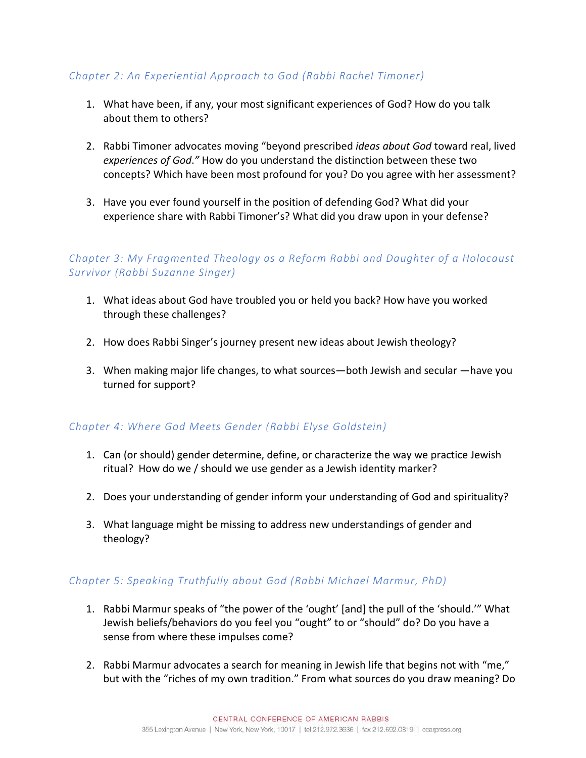## *Chapter 2: An Experiential Approach to God (Rabbi Rachel Timoner)*

- 1. What have been, if any, your most significant experiences of God? How do you talk about them to others?
- 2. Rabbi Timoner advocates moving "beyond prescribed *ideas about God* toward real, lived *experiences of God*.*"* How do you understand the distinction between these two concepts? Which have been most profound for you? Do you agree with her assessment?
- 3. Have you ever found yourself in the position of defending God? What did your experience share with Rabbi Timoner's? What did you draw upon in your defense?

## *Chapter 3: My Fragmented Theology as a Reform Rabbi and Daughter of a Holocaust Survivor (Rabbi Suzanne Singer)*

- 1. What ideas about God have troubled you or held you back? How have you worked through these challenges?
- 2. How does Rabbi Singer's journey present new ideas about Jewish theology?
- 3. When making major life changes, to what sources—both Jewish and secular —have you turned for support?

## *Chapter 4: Where God Meets Gender (Rabbi Elyse Goldstein)*

- 1. Can (or should) gender determine, define, or characterize the way we practice Jewish ritual? How do we / should we use gender as a Jewish identity marker?
- 2. Does your understanding of gender inform your understanding of God and spirituality?
- 3. What language might be missing to address new understandings of gender and theology?

## *Chapter 5: Speaking Truthfully about God (Rabbi Michael Marmur, PhD)*

- 1. Rabbi Marmur speaks of "the power of the 'ought' [and] the pull of the 'should.'" What Jewish beliefs/behaviors do you feel you "ought" to or "should" do? Do you have a sense from where these impulses come?
- 2. Rabbi Marmur advocates a search for meaning in Jewish life that begins not with "me," but with the "riches of my own tradition." From what sources do you draw meaning? Do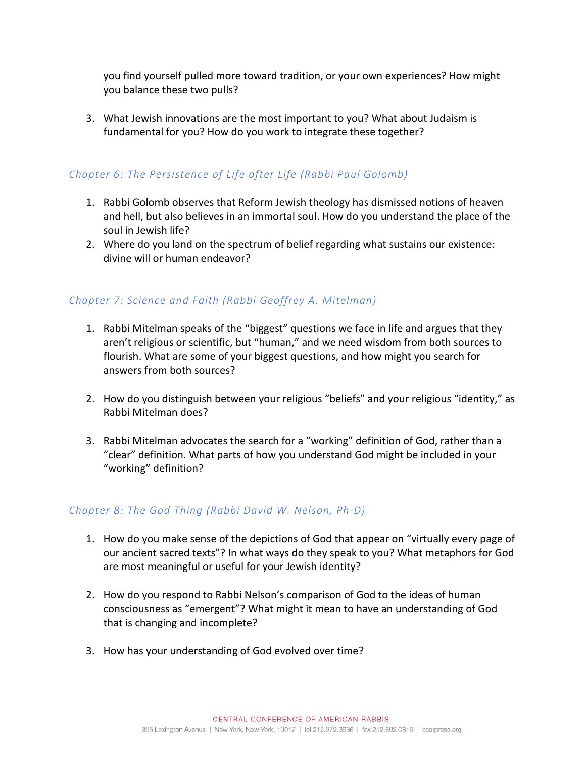you find yourself pulled more toward tradition, or your own experiences? How might you balance these two pulls?

3. What Jewish innovations are the most important to you? What about Judaism is fundamental for you? How do you work to integrate these together?

## *Chapter 6: The Persistence of Life after Life (Rabbi Paul Golomb)*

- 1. Rabbi Golomb observes that Reform Jewish theology has dismissed notions of heaven and hell, but also believes in an immortal soul. How do you understand the place of the soul in Jewish life?
- 2. Where do you land on the spectrum of belief regarding what sustains our existence: divine will or human endeavor?

## *Chapter 7: Science and Faith (Rabbi Geoffrey A. Mitelman)*

- 1. Rabbi Mitelman speaks of the "biggest" questions we face in life and argues that they aren't religious or scientific, but "human," and we need wisdom from both sources to flourish. What are some of your biggest questions, and how might you search for answers from both sources?
- 2. How do you distinguish between your religious "beliefs" and your religious "identity," as Rabbi Mitelman does?
- 3. Rabbi Mitelman advocates the search for a "working" definition of God, rather than a "clear" definition. What parts of how you understand God might be included in your "working" definition?

## *Chapter 8: The God Thing (Rabbi David W. Nelson, Ph-D)*

- 1. How do you make sense of the depictions of God that appear on "virtually every page of our ancient sacred texts"? In what ways do they speak to you? What metaphors for God are most meaningful or useful for your Jewish identity?
- 2. How do you respond to Rabbi Nelson's comparison of God to the ideas of human consciousness as "emergent"? What might it mean to have an understanding of God that is changing and incomplete?
- 3. How has your understanding of God evolved over time?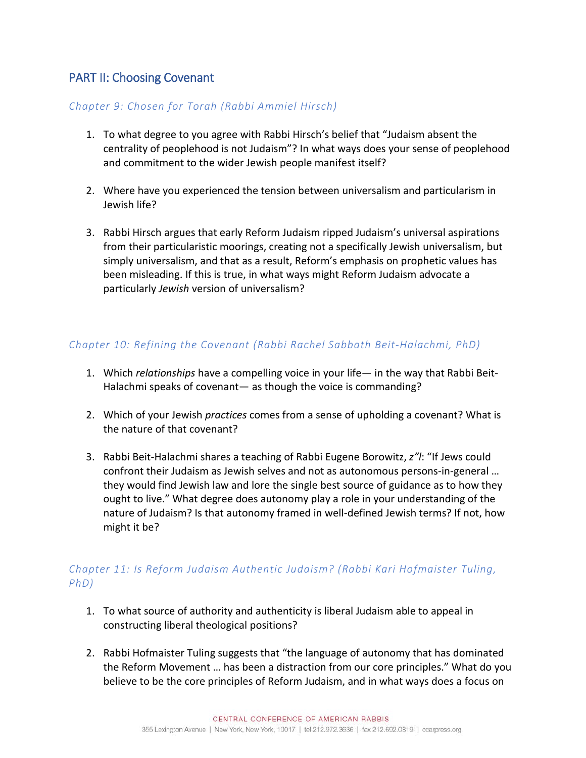# PART II: Choosing Covenant

#### *Chapter 9: Chosen for Torah (Rabbi Ammiel Hirsch)*

- 1. To what degree to you agree with Rabbi Hirsch's belief that "Judaism absent the centrality of peoplehood is not Judaism"? In what ways does your sense of peoplehood and commitment to the wider Jewish people manifest itself?
- 2. Where have you experienced the tension between universalism and particularism in Jewish life?
- 3. Rabbi Hirsch argues that early Reform Judaism ripped Judaism's universal aspirations from their particularistic moorings, creating not a specifically Jewish universalism, but simply universalism, and that as a result, Reform's emphasis on prophetic values has been misleading. If this is true, in what ways might Reform Judaism advocate a particularly *Jewish* version of universalism?

## *Chapter 10: Refining the Covenant (Rabbi Rachel Sabbath Beit-Halachmi, PhD)*

- 1. Which *relationships* have a compelling voice in your life— in the way that Rabbi Beit-Halachmi speaks of covenant— as though the voice is commanding?
- 2. Which of your Jewish *practices* comes from a sense of upholding a covenant? What is the nature of that covenant?
- 3. Rabbi Beit-Halachmi shares a teaching of Rabbi Eugene Borowitz, *z"l*: "If Jews could confront their Judaism as Jewish selves and not as autonomous persons-in-general … they would find Jewish law and lore the single best source of guidance as to how they ought to live." What degree does autonomy play a role in your understanding of the nature of Judaism? Is that autonomy framed in well-defined Jewish terms? If not, how might it be?

## *Chapter 11: Is Reform Judaism Authentic Judaism? (Rabbi Kari Hofmaister Tuling, PhD)*

- 1. To what source of authority and authenticity is liberal Judaism able to appeal in constructing liberal theological positions?
- 2. Rabbi Hofmaister Tuling suggests that "the language of autonomy that has dominated the Reform Movement … has been a distraction from our core principles." What do you believe to be the core principles of Reform Judaism, and in what ways does a focus on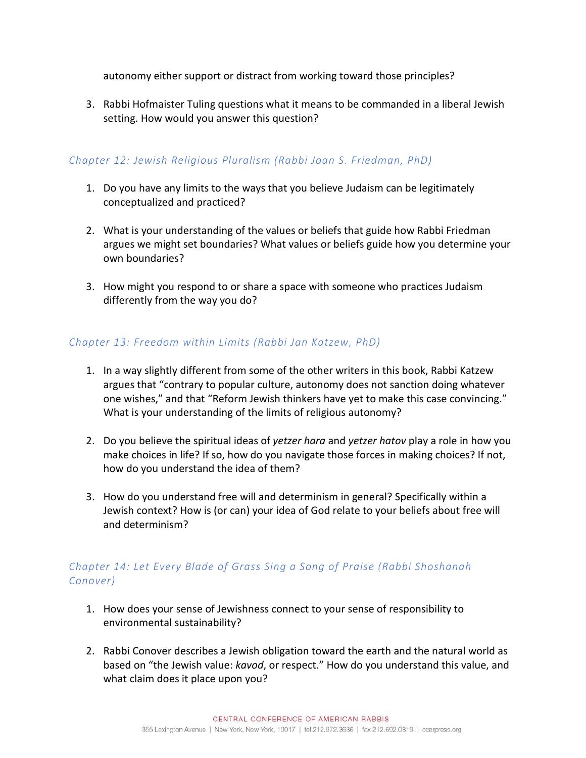autonomy either support or distract from working toward those principles?

3. Rabbi Hofmaister Tuling questions what it means to be commanded in a liberal Jewish setting. How would you answer this question?

## *Chapter 12: Jewish Religious Pluralism (Rabbi Joan S. Friedman, PhD)*

- 1. Do you have any limits to the ways that you believe Judaism can be legitimately conceptualized and practiced?
- 2. What is your understanding of the values or beliefs that guide how Rabbi Friedman argues we might set boundaries? What values or beliefs guide how you determine your own boundaries?
- 3. How might you respond to or share a space with someone who practices Judaism differently from the way you do?

## *Chapter 13: Freedom within Limits (Rabbi Jan Katzew, PhD)*

- 1. In a way slightly different from some of the other writers in this book, Rabbi Katzew argues that "contrary to popular culture, autonomy does not sanction doing whatever one wishes," and that "Reform Jewish thinkers have yet to make this case convincing." What is your understanding of the limits of religious autonomy?
- 2. Do you believe the spiritual ideas of *yetzer hara* and *yetzer hatov* play a role in how you make choices in life? If so, how do you navigate those forces in making choices? If not, how do you understand the idea of them?
- 3. How do you understand free will and determinism in general? Specifically within a Jewish context? How is (or can) your idea of God relate to your beliefs about free will and determinism?

## *Chapter 14: Let Every Blade of Grass Sing a Song of Praise (Rabbi Shoshanah Conover)*

- 1. How does your sense of Jewishness connect to your sense of responsibility to environmental sustainability?
- 2. Rabbi Conover describes a Jewish obligation toward the earth and the natural world as based on "the Jewish value: *kavod*, or respect." How do you understand this value, and what claim does it place upon you?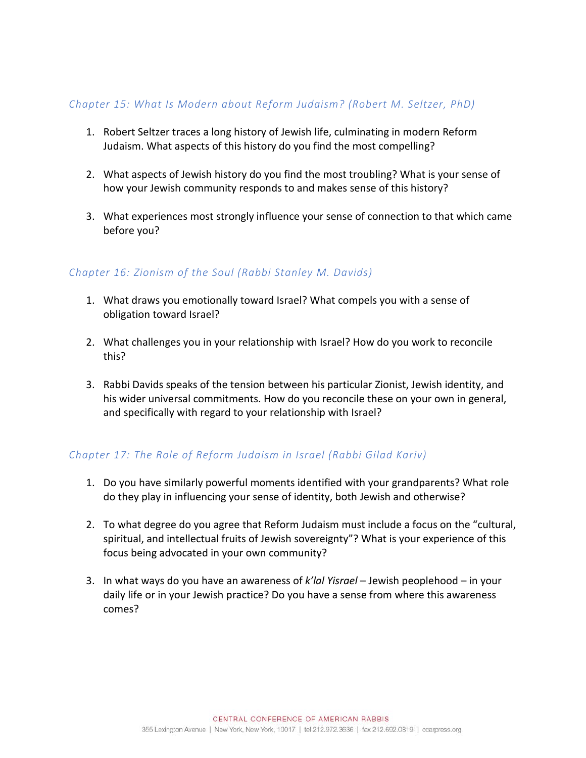#### *Chapter 15: What Is Modern about Reform Judaism? (Robert M. Seltzer, PhD)*

- 1. Robert Seltzer traces a long history of Jewish life, culminating in modern Reform Judaism. What aspects of this history do you find the most compelling?
- 2. What aspects of Jewish history do you find the most troubling? What is your sense of how your Jewish community responds to and makes sense of this history?
- 3. What experiences most strongly influence your sense of connection to that which came before you?

#### *Chapter 16: Zionism of the Soul (Rabbi Stanley M. Davids)*

- 1. What draws you emotionally toward Israel? What compels you with a sense of obligation toward Israel?
- 2. What challenges you in your relationship with Israel? How do you work to reconcile this?
- 3. Rabbi Davids speaks of the tension between his particular Zionist, Jewish identity, and his wider universal commitments. How do you reconcile these on your own in general, and specifically with regard to your relationship with Israel?

## *Chapter 17: The Role of Reform Judaism in Israel (Rabbi Gilad Kariv)*

- 1. Do you have similarly powerful moments identified with your grandparents? What role do they play in influencing your sense of identity, both Jewish and otherwise?
- 2. To what degree do you agree that Reform Judaism must include a focus on the "cultural, spiritual, and intellectual fruits of Jewish sovereignty"? What is your experience of this focus being advocated in your own community?
- 3. In what ways do you have an awareness of *k'lal Yisrael* Jewish peoplehood in your daily life or in your Jewish practice? Do you have a sense from where this awareness comes?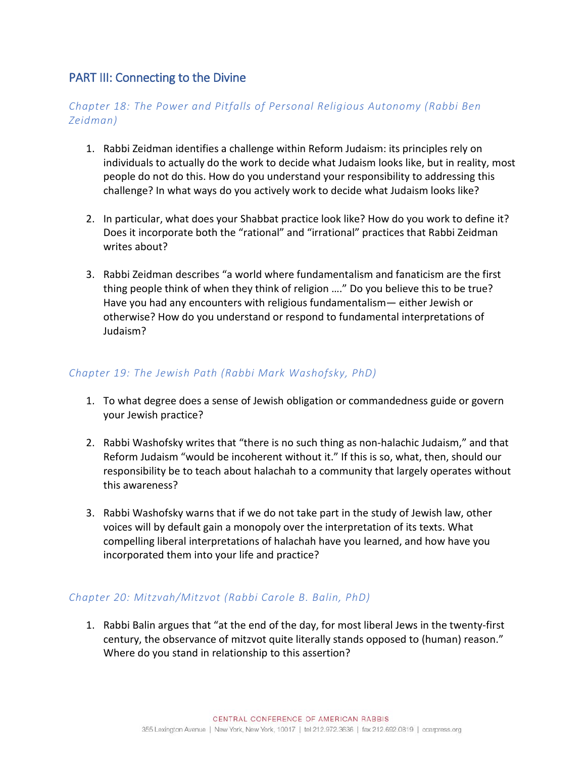# PART III: Connecting to the Divine

## *Chapter 18: The Power and Pitfalls of Personal Religious Autonomy (Rabbi Ben Zeidman)*

- 1. Rabbi Zeidman identifies a challenge within Reform Judaism: its principles rely on individuals to actually do the work to decide what Judaism looks like, but in reality, most people do not do this. How do you understand your responsibility to addressing this challenge? In what ways do you actively work to decide what Judaism looks like?
- 2. In particular, what does your Shabbat practice look like? How do you work to define it? Does it incorporate both the "rational" and "irrational" practices that Rabbi Zeidman writes about?
- 3. Rabbi Zeidman describes "a world where fundamentalism and fanaticism are the first thing people think of when they think of religion …." Do you believe this to be true? Have you had any encounters with religious fundamentalism— either Jewish or otherwise? How do you understand or respond to fundamental interpretations of Judaism?

#### *Chapter 19: The Jewish Path (Rabbi Mark Washofsky, PhD)*

- 1. To what degree does a sense of Jewish obligation or commandedness guide or govern your Jewish practice?
- 2. Rabbi Washofsky writes that "there is no such thing as non-halachic Judaism," and that Reform Judaism "would be incoherent without it." If this is so, what, then, should our responsibility be to teach about halachah to a community that largely operates without this awareness?
- 3. Rabbi Washofsky warns that if we do not take part in the study of Jewish law, other voices will by default gain a monopoly over the interpretation of its texts. What compelling liberal interpretations of halachah have you learned, and how have you incorporated them into your life and practice?

## *Chapter 20: Mitzvah/Mitzvot (Rabbi Carole B. Balin, PhD)*

1. Rabbi Balin argues that "at the end of the day, for most liberal Jews in the twenty-first century, the observance of mitzvot quite literally stands opposed to (human) reason." Where do you stand in relationship to this assertion?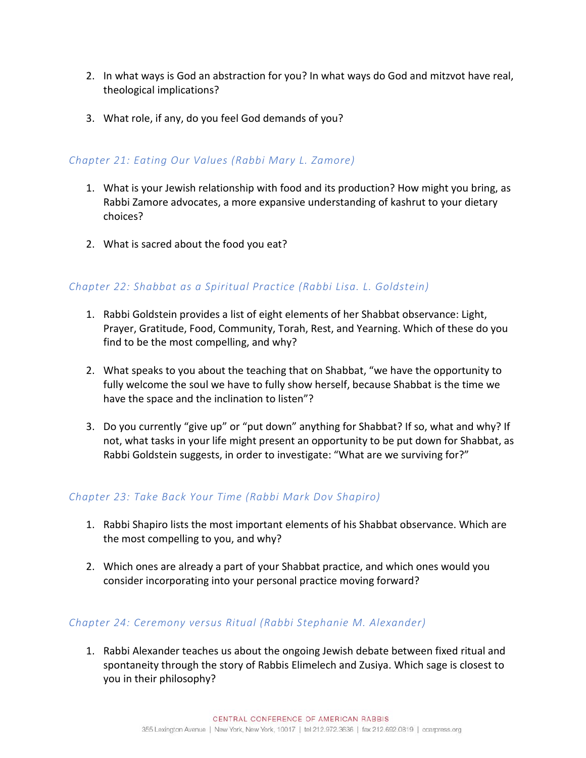- 2. In what ways is God an abstraction for you? In what ways do God and mitzvot have real, theological implications?
- 3. What role, if any, do you feel God demands of you?

#### *Chapter 21: Eating Our Values (Rabbi Mary L. Zamore)*

- 1. What is your Jewish relationship with food and its production? How might you bring, as Rabbi Zamore advocates, a more expansive understanding of kashrut to your dietary choices?
- 2. What is sacred about the food you eat?

#### *Chapter 22: Shabbat as a Spiritual Practice (Rabbi Lisa. L. Goldstein)*

- 1. Rabbi Goldstein provides a list of eight elements of her Shabbat observance: Light, Prayer, Gratitude, Food, Community, Torah, Rest, and Yearning. Which of these do you find to be the most compelling, and why?
- 2. What speaks to you about the teaching that on Shabbat, "we have the opportunity to fully welcome the soul we have to fully show herself, because Shabbat is the time we have the space and the inclination to listen"?
- 3. Do you currently "give up" or "put down" anything for Shabbat? If so, what and why? If not, what tasks in your life might present an opportunity to be put down for Shabbat, as Rabbi Goldstein suggests, in order to investigate: "What are we surviving for?"

#### *Chapter 23: Take Back Your Time (Rabbi Mark Dov Shapiro)*

- 1. Rabbi Shapiro lists the most important elements of his Shabbat observance. Which are the most compelling to you, and why?
- 2. Which ones are already a part of your Shabbat practice, and which ones would you consider incorporating into your personal practice moving forward?

#### *Chapter 24: Ceremony versus Ritual (Rabbi Stephanie M. Alexander)*

1. Rabbi Alexander teaches us about the ongoing Jewish debate between fixed ritual and spontaneity through the story of Rabbis Elimelech and Zusiya. Which sage is closest to you in their philosophy?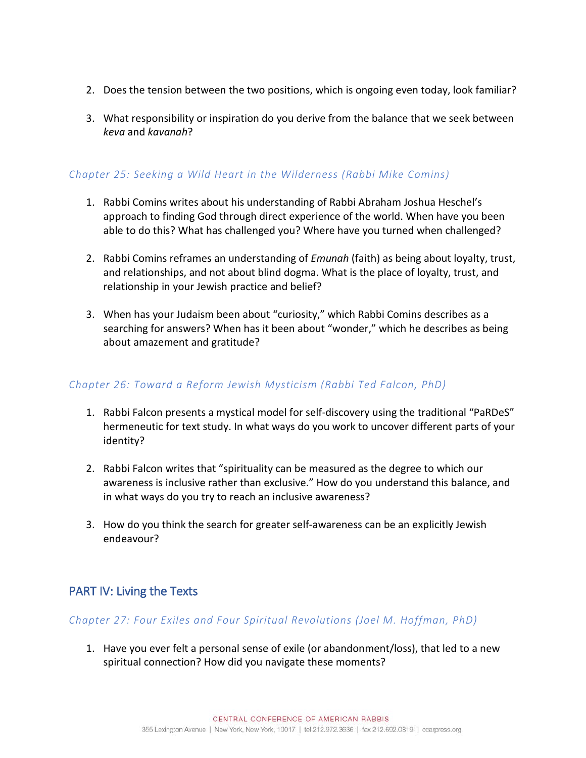- 2. Does the tension between the two positions, which is ongoing even today, look familiar?
- 3. What responsibility or inspiration do you derive from the balance that we seek between *keva* and *kavanah*?

## *Chapter 25: Seeking a Wild Heart in the Wilderness (Rabbi Mike Comins)*

- 1. Rabbi Comins writes about his understanding of Rabbi Abraham Joshua Heschel's approach to finding God through direct experience of the world. When have you been able to do this? What has challenged you? Where have you turned when challenged?
- 2. Rabbi Comins reframes an understanding of *Emunah* (faith) as being about loyalty, trust, and relationships, and not about blind dogma. What is the place of loyalty, trust, and relationship in your Jewish practice and belief?
- 3. When has your Judaism been about "curiosity," which Rabbi Comins describes as a searching for answers? When has it been about "wonder," which he describes as being about amazement and gratitude?

## *Chapter 26: Toward a Reform Jewish Mysticism (Rabbi Ted Falcon, PhD)*

- 1. Rabbi Falcon presents a mystical model for self-discovery using the traditional "PaRDeS" hermeneutic for text study. In what ways do you work to uncover different parts of your identity?
- 2. Rabbi Falcon writes that "spirituality can be measured as the degree to which our awareness is inclusive rather than exclusive." How do you understand this balance, and in what ways do you try to reach an inclusive awareness?
- 3. How do you think the search for greater self-awareness can be an explicitly Jewish endeavour?

# PART IV: Living the Texts

#### *Chapter 27: Four Exiles and Four Spiritual Revolutions (Joel M. Hoffman, PhD)*

1. Have you ever felt a personal sense of exile (or abandonment/loss), that led to a new spiritual connection? How did you navigate these moments?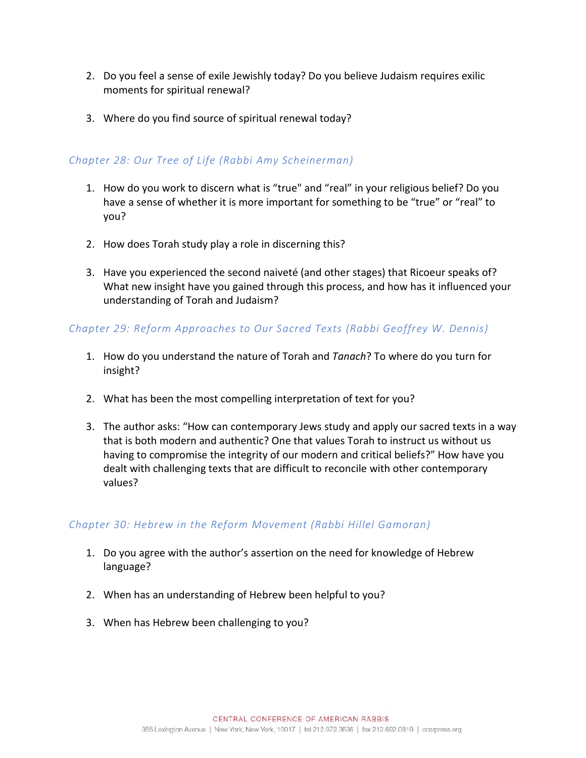- 2. Do you feel a sense of exile Jewishly today? Do you believe Judaism requires exilic moments for spiritual renewal?
- 3. Where do you find source of spiritual renewal today?

## *Chapter 28: Our Tree of Life (Rabbi Amy Scheinerman)*

- 1. How do you work to discern what is "true" and "real" in your religious belief? Do you have a sense of whether it is more important for something to be "true" or "real" to you?
- 2. How does Torah study play a role in discerning this?
- 3. Have you experienced the second naiveté (and other stages) that Ricoeur speaks of? What new insight have you gained through this process, and how has it influenced your understanding of Torah and Judaism?

## *Chapter 29: Reform Approaches to Our Sacred Texts (Rabbi Geoffrey W. Dennis)*

- 1. How do you understand the nature of Torah and *Tanach*? To where do you turn for insight?
- 2. What has been the most compelling interpretation of text for you?
- 3. The author asks: "How can contemporary Jews study and apply our sacred texts in a way that is both modern and authentic? One that values Torah to instruct us without us having to compromise the integrity of our modern and critical beliefs?" How have you dealt with challenging texts that are difficult to reconcile with other contemporary values?

## *Chapter 30: Hebrew in the Reform Movement (Rabbi Hillel Gamoran)*

- 1. Do you agree with the author's assertion on the need for knowledge of Hebrew language?
- 2. When has an understanding of Hebrew been helpful to you?
- 3. When has Hebrew been challenging to you?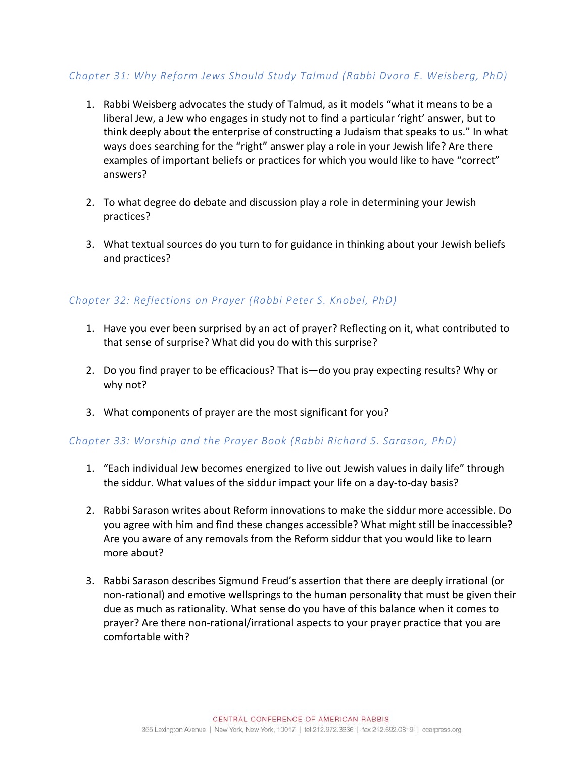## *Chapter 31: Why Reform Jews Should Study Talmud (Rabbi Dvora E. Weisberg, PhD)*

- 1. Rabbi Weisberg advocates the study of Talmud, as it models "what it means to be a liberal Jew, a Jew who engages in study not to find a particular 'right' answer, but to think deeply about the enterprise of constructing a Judaism that speaks to us." In what ways does searching for the "right" answer play a role in your Jewish life? Are there examples of important beliefs or practices for which you would like to have "correct" answers?
- 2. To what degree do debate and discussion play a role in determining your Jewish practices?
- 3. What textual sources do you turn to for guidance in thinking about your Jewish beliefs and practices?

## *Chapter 32: Reflections on Prayer (Rabbi Peter S. Knobel, PhD)*

- 1. Have you ever been surprised by an act of prayer? Reflecting on it, what contributed to that sense of surprise? What did you do with this surprise?
- 2. Do you find prayer to be efficacious? That is—do you pray expecting results? Why or why not?
- 3. What components of prayer are the most significant for you?

## *Chapter 33: Worship and the Prayer Book (Rabbi Richard S. Sarason, PhD)*

- 1. "Each individual Jew becomes energized to live out Jewish values in daily life" through the siddur. What values of the siddur impact your life on a day-to-day basis?
- 2. Rabbi Sarason writes about Reform innovations to make the siddur more accessible. Do you agree with him and find these changes accessible? What might still be inaccessible? Are you aware of any removals from the Reform siddur that you would like to learn more about?
- 3. Rabbi Sarason describes Sigmund Freud's assertion that there are deeply irrational (or non-rational) and emotive wellsprings to the human personality that must be given their due as much as rationality. What sense do you have of this balance when it comes to prayer? Are there non-rational/irrational aspects to your prayer practice that you are comfortable with?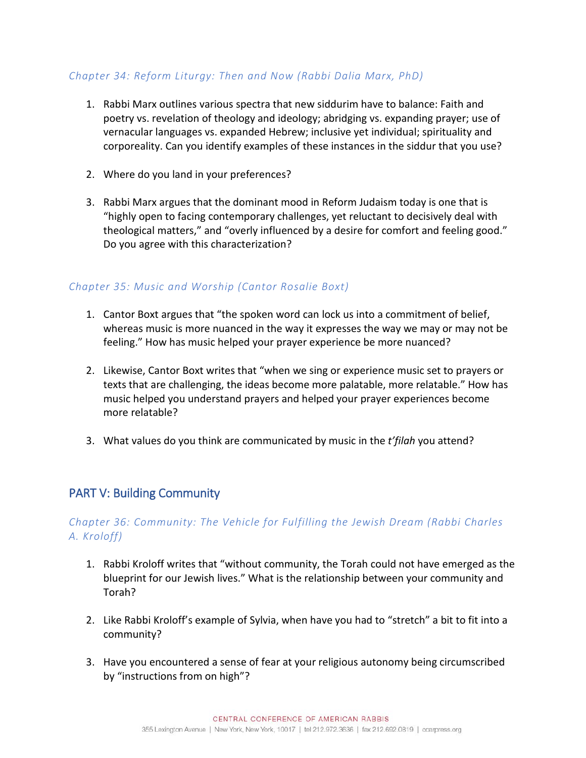## *Chapter 34: Reform Liturgy: Then and Now (Rabbi Dalia Marx, PhD)*

- 1. Rabbi Marx outlines various spectra that new siddurim have to balance: Faith and poetry vs. revelation of theology and ideology; abridging vs. expanding prayer; use of vernacular languages vs. expanded Hebrew; inclusive yet individual; spirituality and corporeality. Can you identify examples of these instances in the siddur that you use?
- 2. Where do you land in your preferences?
- 3. Rabbi Marx argues that the dominant mood in Reform Judaism today is one that is "highly open to facing contemporary challenges, yet reluctant to decisively deal with theological matters," and "overly influenced by a desire for comfort and feeling good." Do you agree with this characterization?

## *Chapter 35: Music and Worship (Cantor Rosalie Boxt)*

- 1. Cantor Boxt argues that "the spoken word can lock us into a commitment of belief, whereas music is more nuanced in the way it expresses the way we may or may not be feeling." How has music helped your prayer experience be more nuanced?
- 2. Likewise, Cantor Boxt writes that "when we sing or experience music set to prayers or texts that are challenging, the ideas become more palatable, more relatable." How has music helped you understand prayers and helped your prayer experiences become more relatable?
- 3. What values do you think are communicated by music in the *t'filah* you attend?

# PART V: Building Community

## *Chapter 36: Community: The Vehicle for Fulfilling the Jewish Dream (Rabbi Charles A. Kroloff)*

- 1. Rabbi Kroloff writes that "without community, the Torah could not have emerged as the blueprint for our Jewish lives." What is the relationship between your community and Torah?
- 2. Like Rabbi Kroloff's example of Sylvia, when have you had to "stretch" a bit to fit into a community?
- 3. Have you encountered a sense of fear at your religious autonomy being circumscribed by "instructions from on high"?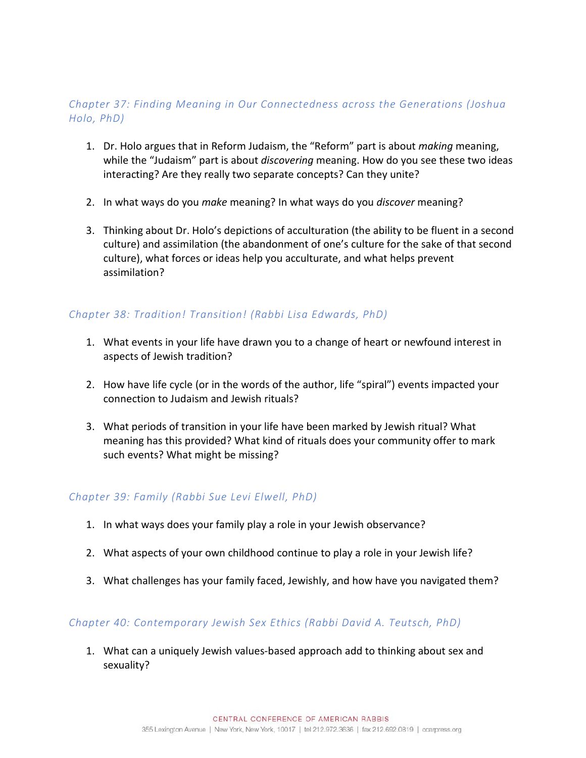## *Chapter 37: Finding Meaning in Our Connectedness across the Generations (Joshua Holo, PhD)*

- 1. Dr. Holo argues that in Reform Judaism, the "Reform" part is about *making* meaning, while the "Judaism" part is about *discovering* meaning. How do you see these two ideas interacting? Are they really two separate concepts? Can they unite?
- 2. In what ways do you *make* meaning? In what ways do you *discover* meaning?
- 3. Thinking about Dr. Holo's depictions of acculturation (the ability to be fluent in a second culture) and assimilation (the abandonment of one's culture for the sake of that second culture), what forces or ideas help you acculturate, and what helps prevent assimilation?

## *Chapter 38: Tradition! Transition! (Rabbi Lisa Edwards, PhD)*

- 1. What events in your life have drawn you to a change of heart or newfound interest in aspects of Jewish tradition?
- 2. How have life cycle (or in the words of the author, life "spiral") events impacted your connection to Judaism and Jewish rituals?
- 3. What periods of transition in your life have been marked by Jewish ritual? What meaning has this provided? What kind of rituals does your community offer to mark such events? What might be missing?

## *Chapter 39: Family (Rabbi Sue Levi Elwell, PhD)*

- 1. In what ways does your family play a role in your Jewish observance?
- 2. What aspects of your own childhood continue to play a role in your Jewish life?
- 3. What challenges has your family faced, Jewishly, and how have you navigated them?

## *Chapter 40: Contemporary Jewish Sex Ethics (Rabbi David A. Teutsch, PhD)*

1. What can a uniquely Jewish values-based approach add to thinking about sex and sexuality?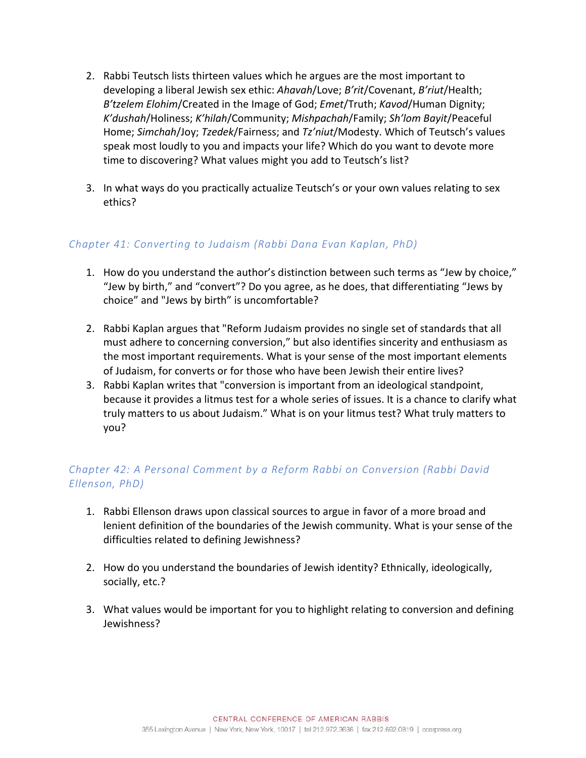- 2. Rabbi Teutsch lists thirteen values which he argues are the most important to developing a liberal Jewish sex ethic: *Ahavah*/Love; *B'rit*/Covenant, *B'riut*/Health; *B'tzelem Elohim*/Created in the Image of God; *Emet*/Truth; *Kavod*/Human Dignity; *K'dushah*/Holiness; *K'hilah*/Community; *Mishpachah*/Family; *Sh'lom Bayit*/Peaceful Home; *Simchah*/Joy; *Tzedek*/Fairness; and *Tz'niut*/Modesty. Which of Teutsch's values speak most loudly to you and impacts your life? Which do you want to devote more time to discovering? What values might you add to Teutsch's list?
- 3. In what ways do you practically actualize Teutsch's or your own values relating to sex ethics?

## *Chapter 41: Converting to Judaism (Rabbi Dana Evan Kaplan, PhD)*

- 1. How do you understand the author's distinction between such terms as "Jew by choice," "Jew by birth," and "convert"? Do you agree, as he does, that differentiating "Jews by choice" and "Jews by birth" is uncomfortable?
- 2. Rabbi Kaplan argues that "Reform Judaism provides no single set of standards that all must adhere to concerning conversion," but also identifies sincerity and enthusiasm as the most important requirements. What is your sense of the most important elements of Judaism, for converts or for those who have been Jewish their entire lives?
- 3. Rabbi Kaplan writes that "conversion is important from an ideological standpoint, because it provides a litmus test for a whole series of issues. It is a chance to clarify what truly matters to us about Judaism." What is on your litmus test? What truly matters to you?

# *Chapter 42: A Personal Comment by a Reform Rabbi on Conversion (Rabbi David Ellenson, PhD)*

- 1. Rabbi Ellenson draws upon classical sources to argue in favor of a more broad and lenient definition of the boundaries of the Jewish community. What is your sense of the difficulties related to defining Jewishness?
- 2. How do you understand the boundaries of Jewish identity? Ethnically, ideologically, socially, etc.?
- 3. What values would be important for you to highlight relating to conversion and defining Jewishness?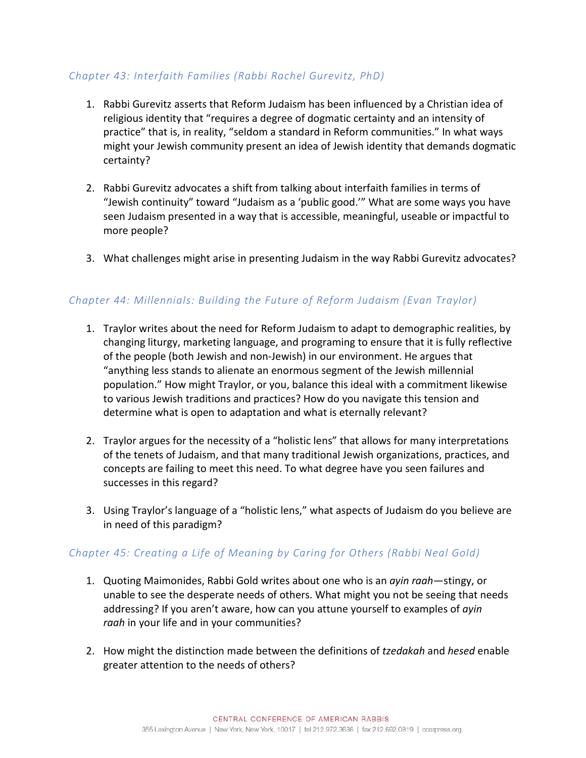## *Chapter 43: Interfaith Families (Rabbi Rachel Gurevitz, PhD)*

- 1. Rabbi Gurevitz asserts that Reform Judaism has been influenced by a Christian idea of religious identity that "requires a degree of dogmatic certainty and an intensity of practice" that is, in reality, "seldom a standard in Reform communities." In what ways might your Jewish community present an idea of Jewish identity that demands dogmatic certainty?
- 2. Rabbi Gurevitz advocates a shift from talking about interfaith families in terms of "Jewish continuity" toward "Judaism as a 'public good.'" What are some ways you have seen Judaism presented in a way that is accessible, meaningful, useable or impactful to more people?
- 3. What challenges might arise in presenting Judaism in the way Rabbi Gurevitz advocates?

## *Chapter 44: Millennials: Building the Future of Reform Judaism (Evan Traylor)*

- 1. Traylor writes about the need for Reform Judaism to adapt to demographic realities, by changing liturgy, marketing language, and programing to ensure that it is fully reflective of the people (both Jewish and non-Jewish) in our environment. He argues that "anything less stands to alienate an enormous segment of the Jewish millennial population." How might Traylor, or you, balance this ideal with a commitment likewise to various Jewish traditions and practices? How do you navigate this tension and determine what is open to adaptation and what is eternally relevant?
- 2. Traylor argues for the necessity of a "holistic lens" that allows for many interpretations of the tenets of Judaism, and that many traditional Jewish organizations, practices, and concepts are failing to meet this need. To what degree have you seen failures and successes in this regard?
- 3. Using Traylor's language of a "holistic lens," what aspects of Judaism do you believe are in need of this paradigm?

## *Chapter 45: Creating a Life of Meaning by Caring for Others (Rabbi Neal Gold)*

- 1. Quoting Maimonides, Rabbi Gold writes about one who is an *ayin raah*—stingy, or unable to see the desperate needs of others. What might you not be seeing that needs addressing? If you aren't aware, how can you attune yourself to examples of *ayin raah* in your life and in your communities?
- 2. How might the distinction made between the definitions of *tzedakah* and *hesed* enable greater attention to the needs of others?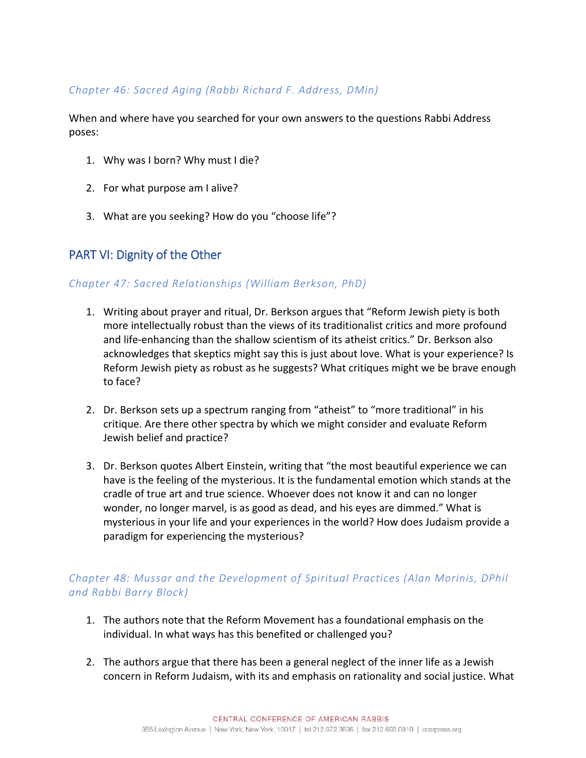## *Chapter 46: Sacred Aging (Rabbi Richard F. Address, DMin)*

When and where have you searched for your own answers to the questions Rabbi Address poses:

- 1. Why was I born? Why must I die?
- 2. For what purpose am I alive?
- 3. What are you seeking? How do you "choose life"?

# PART VI: Dignity of the Other

#### *Chapter 47: Sacred Relationships (William Berkson, PhD)*

- 1. Writing about prayer and ritual, Dr. Berkson argues that "Reform Jewish piety is both more intellectually robust than the views of its traditionalist critics and more profound and life-enhancing than the shallow scientism of its atheist critics." Dr. Berkson also acknowledges that skeptics might say this is just about love. What is your experience? Is Reform Jewish piety as robust as he suggests? What critiques might we be brave enough to face?
- 2. Dr. Berkson sets up a spectrum ranging from "atheist" to "more traditional" in his critique. Are there other spectra by which we might consider and evaluate Reform Jewish belief and practice?
- 3. Dr. Berkson quotes Albert Einstein, writing that "the most beautiful experience we can have is the feeling of the mysterious. It is the fundamental emotion which stands at the cradle of true art and true science. Whoever does not know it and can no longer wonder, no longer marvel, is as good as dead, and his eyes are dimmed." What is mysterious in your life and your experiences in the world? How does Judaism provide a paradigm for experiencing the mysterious?

## *Chapter 48: Mussar and the Development of Spiritual Practices (Alan Morinis, DPhil and Rabbi Barry Block)*

- 1. The authors note that the Reform Movement has a foundational emphasis on the individual. In what ways has this benefited or challenged you?
- 2. The authors argue that there has been a general neglect of the inner life as a Jewish concern in Reform Judaism, with its and emphasis on rationality and social justice. What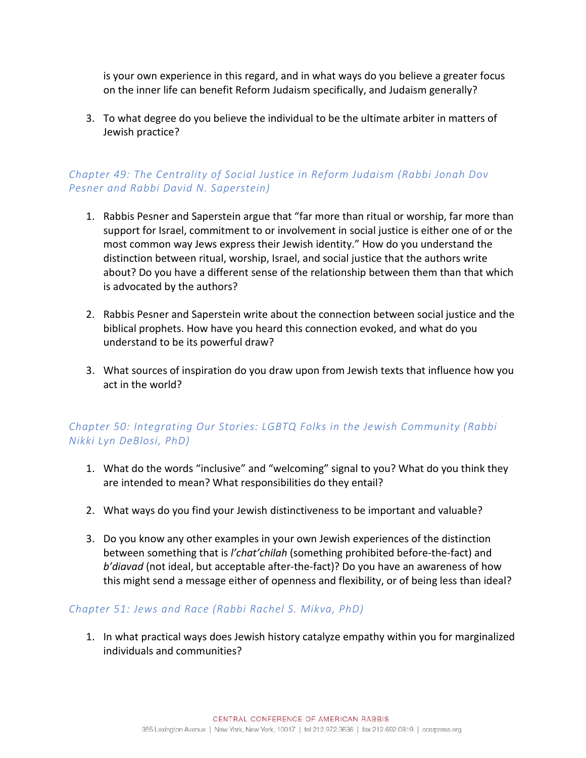is your own experience in this regard, and in what ways do you believe a greater focus on the inner life can benefit Reform Judaism specifically, and Judaism generally?

3. To what degree do you believe the individual to be the ultimate arbiter in matters of Jewish practice?

## *Chapter 49: The Centrality of Social Justice in Reform Judaism (Rabbi Jonah Dov Pesner and Rabbi David N. Saperstein)*

- 1. Rabbis Pesner and Saperstein argue that "far more than ritual or worship, far more than support for Israel, commitment to or involvement in social justice is either one of or the most common way Jews express their Jewish identity." How do you understand the distinction between ritual, worship, Israel, and social justice that the authors write about? Do you have a different sense of the relationship between them than that which is advocated by the authors?
- 2. Rabbis Pesner and Saperstein write about the connection between social justice and the biblical prophets. How have you heard this connection evoked, and what do you understand to be its powerful draw?
- 3. What sources of inspiration do you draw upon from Jewish texts that influence how you act in the world?

## *Chapter 50: Integrating Our Stories: LGBTQ Folks in the Jewish Community (Rabbi Nikki Lyn DeBlosi, PhD)*

- 1. What do the words "inclusive" and "welcoming" signal to you? What do you think they are intended to mean? What responsibilities do they entail?
- 2. What ways do you find your Jewish distinctiveness to be important and valuable?
- 3. Do you know any other examples in your own Jewish experiences of the distinction between something that is *l'chat'chilah* (something prohibited before-the-fact) and *b'diavad* (not ideal, but acceptable after-the-fact)? Do you have an awareness of how this might send a message either of openness and flexibility, or of being less than ideal?

#### *Chapter 51: Jews and Race (Rabbi Rachel S. Mikva, PhD)*

1. In what practical ways does Jewish history catalyze empathy within you for marginalized individuals and communities?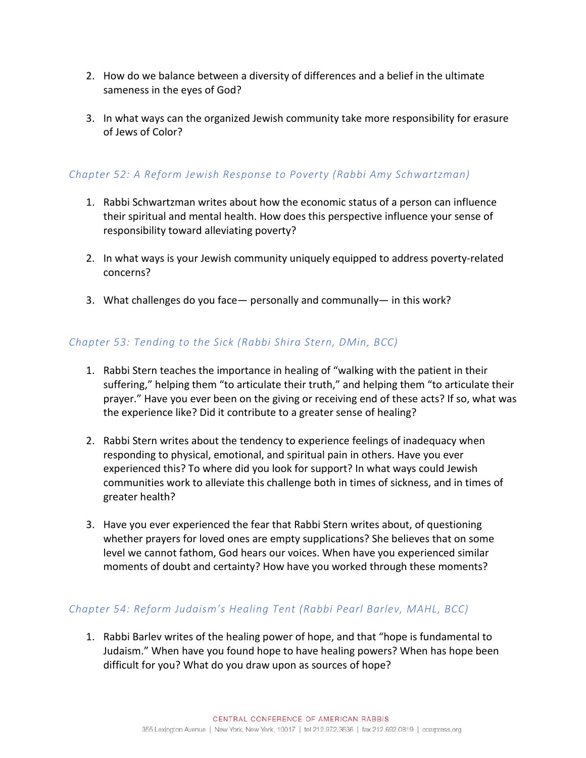- 2. How do we balance between a diversity of differences and a belief in the ultimate sameness in the eyes of God?
- 3. In what ways can the organized Jewish community take more responsibility for erasure of Jews of Color?

## *Chapter 52: A Reform Jewish Response to Poverty (Rabbi Amy Schwartzman)*

- 1. Rabbi Schwartzman writes about how the economic status of a person can influence their spiritual and mental health. How does this perspective influence your sense of responsibility toward alleviating poverty?
- 2. In what ways is your Jewish community uniquely equipped to address poverty-related concerns?
- 3. What challenges do you face— personally and communally— in this work?

## *Chapter 53: Tending to the Sick (Rabbi Shira Stern, DMin, BCC)*

- 1. Rabbi Stern teaches the importance in healing of "walking with the patient in their suffering," helping them "to articulate their truth," and helping them "to articulate their prayer." Have you ever been on the giving or receiving end of these acts? If so, what was the experience like? Did it contribute to a greater sense of healing?
- 2. Rabbi Stern writes about the tendency to experience feelings of inadequacy when responding to physical, emotional, and spiritual pain in others. Have you ever experienced this? To where did you look for support? In what ways could Jewish communities work to alleviate this challenge both in times of sickness, and in times of greater health?
- 3. Have you ever experienced the fear that Rabbi Stern writes about, of questioning whether prayers for loved ones are empty supplications? She believes that on some level we cannot fathom, God hears our voices. When have you experienced similar moments of doubt and certainty? How have you worked through these moments?

#### *Chapter 54: Reform Judaism's Healing Tent (Rabbi Pearl Barlev, MAHL, BCC)*

1. Rabbi Barlev writes of the healing power of hope, and that "hope is fundamental to Judaism." When have you found hope to have healing powers? When has hope been difficult for you? What do you draw upon as sources of hope?